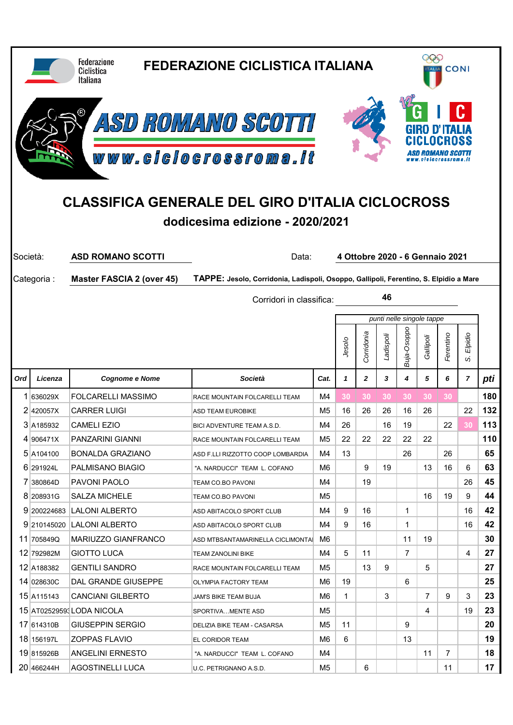|          |                                                                                                                     | <b>Federazione</b><br>Ciclistica<br><b>Italiana</b> | <b>FEDERAZIONE CICLISTICA ITALIANA</b>                                                |          |         |              |           | 999<br><b>CONI</b><br><b>ALIA</b> |                                 |                |                           |          |  |
|----------|---------------------------------------------------------------------------------------------------------------------|-----------------------------------------------------|---------------------------------------------------------------------------------------|----------|---------|--------------|-----------|-----------------------------------|---------------------------------|----------------|---------------------------|----------|--|
|          |                                                                                                                     |                                                     | ASD ROMANO SCOTTI                                                                     |          |         |              |           |                                   |                                 |                |                           |          |  |
|          | www.clclocrossroma.lt<br><b>CLASSIFICA GENERALE DEL GIRO D'ITALIA CICLOCROSS</b><br>dodicesima edizione - 2020/2021 |                                                     |                                                                                       |          |         |              |           |                                   |                                 |                |                           |          |  |
| Società: |                                                                                                                     | <b>ASD ROMANO SCOTTI</b>                            | Data:                                                                                 |          |         |              |           |                                   | 4 Ottobre 2020 - 6 Gennaio 2021 |                |                           |          |  |
|          | Categoria:                                                                                                          | <b>Master FASCIA 2 (over 45)</b>                    | TAPPE: Jesolo, Corridonia, Ladispoli, Osoppo, Gallipoli, Ferentino, S. Elpidio a Mare |          |         |              |           |                                   |                                 |                |                           |          |  |
|          | 46<br>Corridori in classifica:                                                                                      |                                                     |                                                                                       |          |         |              |           |                                   |                                 |                |                           |          |  |
|          |                                                                                                                     |                                                     |                                                                                       |          |         |              |           |                                   | punti nelle singole tappe       |                |                           |          |  |
|          |                                                                                                                     |                                                     |                                                                                       |          | Jesolo  | Corridonia   | Ladispoli | Buja-Osoppo                       | Gallipoli                       | Ferentino      | Elpidio<br>$\dot{\omega}$ |          |  |
| Ord      | Licenza                                                                                                             | <b>Cognome e Nome</b>                               | Società                                                                               | Cat.     | 1       | $\mathbf{z}$ | 3         | 4                                 | 5                               | 6              | 7                         | pti      |  |
| 1.       | 636029X                                                                                                             | <b>FOLCARELLI MASSIMO</b>                           | RACE MOUNTAIN FOLCARELLI TEAM                                                         | M4       | 30      | 30           | 30        | 30                                | 30                              | 30             |                           | 180      |  |
|          | 2420057X                                                                                                            | <b>CARRER LUIGI</b>                                 | <b>ASD TEAM EUROBIKE</b>                                                              | M5       | 16      | 26           | 26        | 16                                | 26                              |                | 22                        | 132      |  |
|          | 3 A185932                                                                                                           | <b>CAMELI EZIO</b>                                  | BICI ADVENTURE TEAM A.S.D.                                                            | M4       | 26      |              | 16        | 19                                |                                 | 22             | 30                        | 113      |  |
|          | 4 906471X                                                                                                           | PANZARINI GIANNI                                    | RACE MOUNTAIN FOLCARELLI TEAM                                                         | M5       | 22      | 22           | 22        | 22                                | 22                              |                |                           | 110      |  |
|          | 5 A104100                                                                                                           | BONALDA GRAZIANO                                    | ASD F.LLI RIZZOTTO COOP LOMBARDIA                                                     | M4       | 13      |              |           | 26                                |                                 | 26             |                           | 65       |  |
|          | 6 291924L                                                                                                           | PALMISANO BIAGIO                                    | "A. NARDUCCI" TEAM L. COFANO                                                          | M6       |         | 9            | 19        |                                   | 13                              | 16             | 6                         | 63       |  |
|          | 7 380864D                                                                                                           | PAVONI PAOLO                                        | TEAM CO.BO PAVONI                                                                     | M4       |         | 19           |           |                                   |                                 |                | 26                        | 45       |  |
|          |                                                                                                                     |                                                     |                                                                                       |          |         |              |           |                                   |                                 | 19             | 9                         | 44       |  |
|          | 8 208931G                                                                                                           | <b>SALZA MICHELE</b>                                | TEAM CO.BO PAVONI                                                                     | M5       |         |              |           |                                   | 16                              |                |                           |          |  |
|          |                                                                                                                     | 9 200224683 LALONI ALBERTO                          | ASD ABITACOLO SPORT CLUB                                                              | M4       | 9       | 16           |           | 1                                 |                                 |                | 16                        | 42       |  |
|          |                                                                                                                     | 9 210145020 LALONI ALBERTO                          | ASD ABITACOLO SPORT CLUB                                                              | M4       | 9       | 16           |           | 1                                 |                                 |                | 16                        | 42       |  |
|          | 11 705849Q                                                                                                          | MARIUZZO GIANFRANCO                                 | ASD MTBSANTAMARINELLA CICLIMONTAI                                                     | M6.      |         |              |           | 11                                | 19                              |                |                           | 30       |  |
|          | 12 792982M                                                                                                          | <b>GIOTTO LUCA</b>                                  | <b>TEAM ZANOLINI BIKE</b>                                                             | M4       | 5       | 11           |           | $\overline{7}$                    |                                 |                | 4                         | 27       |  |
|          | 12 A188382                                                                                                          | <b>GENTILI SANDRO</b>                               | RACE MOUNTAIN FOLCARELLI TEAM                                                         | M5       |         | 13           | 9         |                                   | 5                               |                |                           | 27       |  |
|          | 14 028630C                                                                                                          | DAL GRANDE GIUSEPPE<br><b>CANCIANI GILBERTO</b>     | OLYMPIA FACTORY TEAM<br>JAM'S BIKE TEAM BUJA                                          | M6<br>M6 | 19<br>1 |              | 3         | 6                                 | $\overline{7}$                  | 9              | 3                         | 25<br>23 |  |
|          | 15 A115143                                                                                                          | 15 AT02529593 LODA NICOLA                           | SPORTIVAMENTE ASD                                                                     | M5       |         |              |           |                                   | $\overline{4}$                  |                | 19                        | 23       |  |
|          | 17 614310B                                                                                                          | <b>GIUSEPPIN SERGIO</b>                             | DELIZIA BIKE TEAM - CASARSA                                                           | M5       | 11      |              |           | 9                                 |                                 |                |                           | 20       |  |
|          | 18 156197L                                                                                                          | <b>ZOPPAS FLAVIO</b>                                | EL CORIDOR TEAM                                                                       | M6       | 6       |              |           | 13                                |                                 |                |                           | 19       |  |
|          | 19 815926B                                                                                                          | <b>ANGELINI ERNESTO</b>                             | "A. NARDUCCI" TEAM L. COFANO                                                          | M4       |         |              |           |                                   | 11                              | $\overline{7}$ |                           | 18       |  |